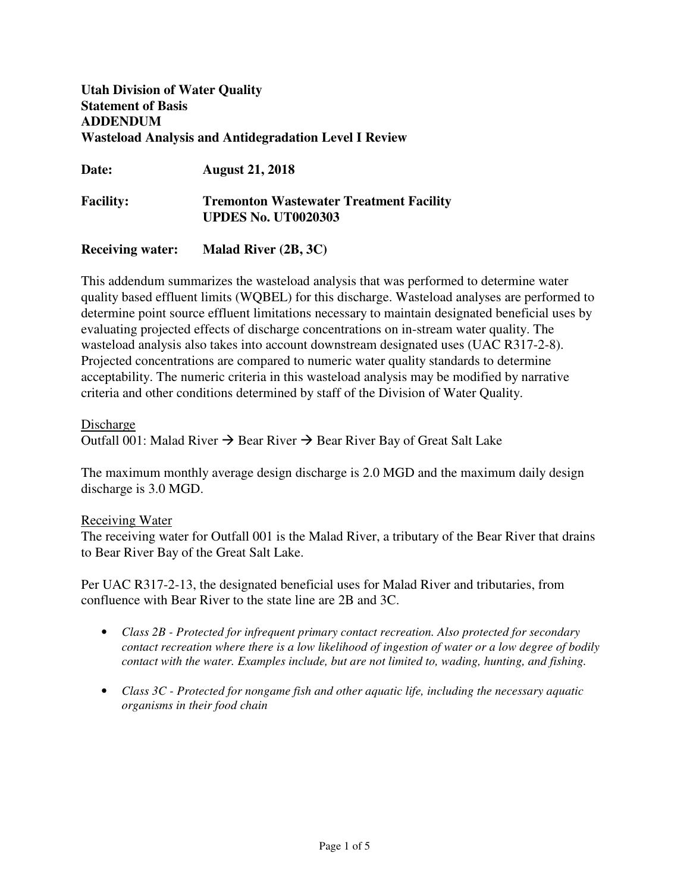# **Utah Division of Water Quality Statement of Basis ADDENDUM Wasteload Analysis and Antidegradation Level I Review**

**Date: August 21, 2018** 

**Facility: Tremonton Wastewater Treatment Facility UPDES No. UT0020303** 

**Receiving water: Malad River (2B, 3C)** 

This addendum summarizes the wasteload analysis that was performed to determine water quality based effluent limits (WQBEL) for this discharge. Wasteload analyses are performed to determine point source effluent limitations necessary to maintain designated beneficial uses by evaluating projected effects of discharge concentrations on in-stream water quality. The wasteload analysis also takes into account downstream designated uses (UAC R317-2-8). Projected concentrations are compared to numeric water quality standards to determine acceptability. The numeric criteria in this wasteload analysis may be modified by narrative criteria and other conditions determined by staff of the Division of Water Quality.

# Discharge

Outfall 001: Malad River  $\rightarrow$  Bear River  $\rightarrow$  Bear River Bay of Great Salt Lake

The maximum monthly average design discharge is 2.0 MGD and the maximum daily design discharge is 3.0 MGD.

# Receiving Water

The receiving water for Outfall 001 is the Malad River, a tributary of the Bear River that drains to Bear River Bay of the Great Salt Lake.

Per UAC R317-2-13, the designated beneficial uses for Malad River and tributaries, from confluence with Bear River to the state line are 2B and 3C.

- *Class 2B Protected for infrequent primary contact recreation. Also protected for secondary contact recreation where there is a low likelihood of ingestion of water or a low degree of bodily contact with the water. Examples include, but are not limited to, wading, hunting, and fishing.*
- *Class 3C Protected for nongame fish and other aquatic life, including the necessary aquatic organisms in their food chain*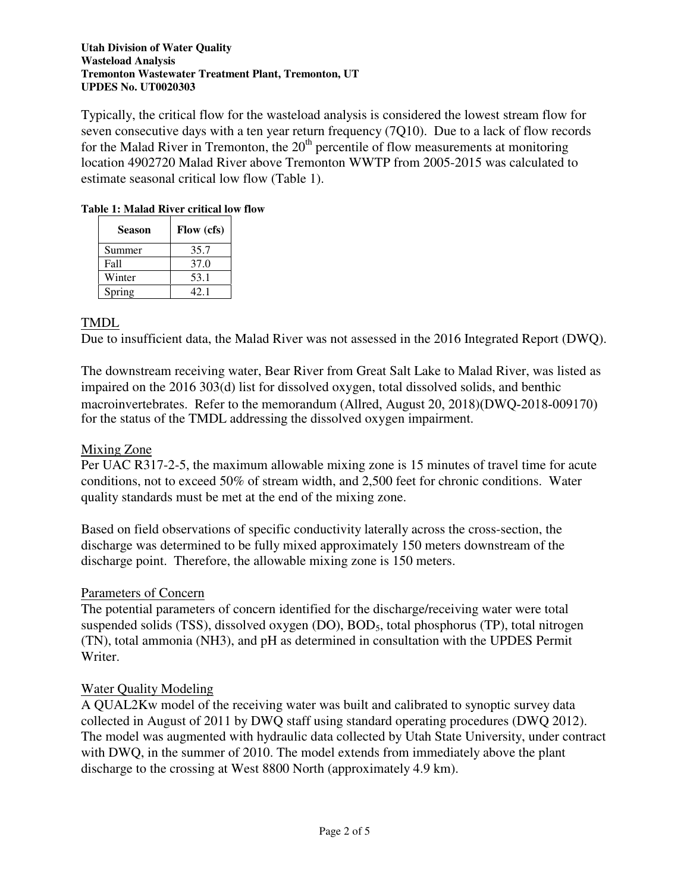## **Utah Division of Water Quality Wasteload Analysis Tremonton Wastewater Treatment Plant, Tremonton, UT UPDES No. UT0020303**

Typically, the critical flow for the wasteload analysis is considered the lowest stream flow for seven consecutive days with a ten year return frequency (7Q10). Due to a lack of flow records for the Malad River in Tremonton, the  $20<sup>th</sup>$  percentile of flow measurements at monitoring location 4902720 Malad River above Tremonton WWTP from 2005-2015 was calculated to estimate seasonal critical low flow (Table 1).

# **Table 1: Malad River critical low flow**

| Season | Flow (cfs) |
|--------|------------|
| Summer | 35.7       |
| Fall   | 37.0       |
| Winter | 53.1       |
| Spring | 42.1       |

# TMDL

Due to insufficient data, the Malad River was not assessed in the 2016 Integrated Report (DWQ).

The downstream receiving water, Bear River from Great Salt Lake to Malad River, was listed as impaired on the 2016 303(d) list for dissolved oxygen, total dissolved solids, and benthic macroinvertebrates. Refer to the memorandum (Allred, August 20, 2018)(DWQ-2018-009170) for the status of the TMDL addressing the dissolved oxygen impairment.

# Mixing Zone

Per UAC R317-2-5, the maximum allowable mixing zone is 15 minutes of travel time for acute conditions, not to exceed 50% of stream width, and 2,500 feet for chronic conditions. Water quality standards must be met at the end of the mixing zone.

Based on field observations of specific conductivity laterally across the cross-section, the discharge was determined to be fully mixed approximately 150 meters downstream of the discharge point. Therefore, the allowable mixing zone is 150 meters.

# Parameters of Concern

The potential parameters of concern identified for the discharge/receiving water were total suspended solids (TSS), dissolved oxygen (DO), BOD<sub>5</sub>, total phosphorus (TP), total nitrogen (TN), total ammonia (NH3), and pH as determined in consultation with the UPDES Permit Writer.

# Water Quality Modeling

A QUAL2Kw model of the receiving water was built and calibrated to synoptic survey data collected in August of 2011 by DWQ staff using standard operating procedures (DWQ 2012). The model was augmented with hydraulic data collected by Utah State University, under contract with DWO, in the summer of 2010. The model extends from immediately above the plant discharge to the crossing at West 8800 North (approximately 4.9 km).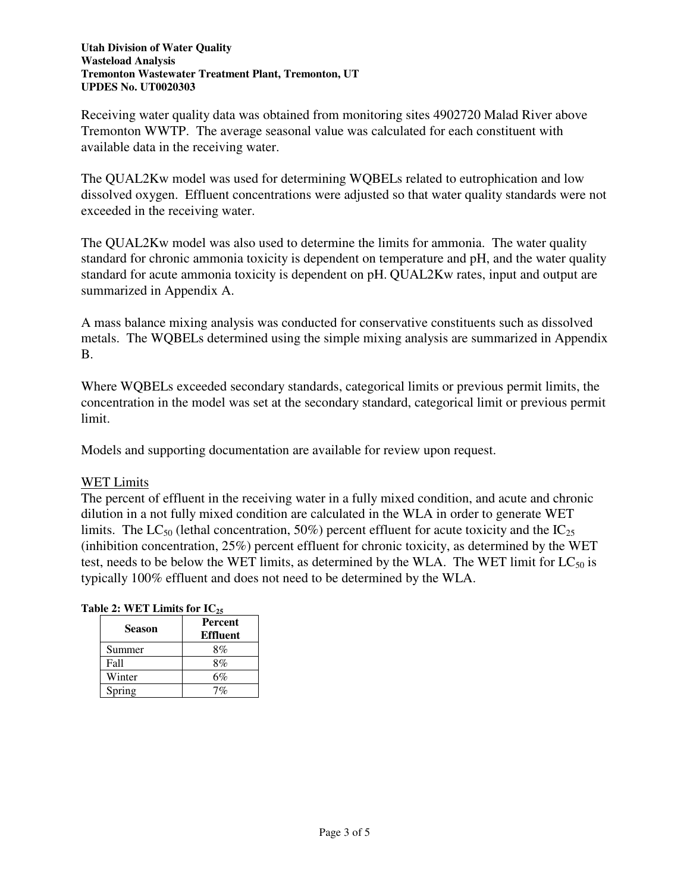## **Utah Division of Water Quality Wasteload Analysis Tremonton Wastewater Treatment Plant, Tremonton, UT UPDES No. UT0020303**

Receiving water quality data was obtained from monitoring sites 4902720 Malad River above Tremonton WWTP. The average seasonal value was calculated for each constituent with available data in the receiving water.

The QUAL2Kw model was used for determining WQBELs related to eutrophication and low dissolved oxygen. Effluent concentrations were adjusted so that water quality standards were not exceeded in the receiving water.

The QUAL2Kw model was also used to determine the limits for ammonia. The water quality standard for chronic ammonia toxicity is dependent on temperature and pH, and the water quality standard for acute ammonia toxicity is dependent on pH. QUAL2Kw rates, input and output are summarized in Appendix A.

A mass balance mixing analysis was conducted for conservative constituents such as dissolved metals. The WQBELs determined using the simple mixing analysis are summarized in Appendix B.

Where WQBELs exceeded secondary standards, categorical limits or previous permit limits, the concentration in the model was set at the secondary standard, categorical limit or previous permit limit.

Models and supporting documentation are available for review upon request.

# WET Limits

The percent of effluent in the receiving water in a fully mixed condition, and acute and chronic dilution in a not fully mixed condition are calculated in the WLA in order to generate WET limits. The LC<sub>50</sub> (lethal concentration, 50%) percent effluent for acute toxicity and the  $IC_{25}$ (inhibition concentration, 25%) percent effluent for chronic toxicity, as determined by the WET test, needs to be below the WET limits, as determined by the WLA. The WET limit for  $LC_{50}$  is typically 100% effluent and does not need to be determined by the WLA.

# **Table 2: WET Limits for IC<sup>25</sup>**

| Season | <b>Percent</b><br><b>Effluent</b> |
|--------|-----------------------------------|
| Summer | 8%                                |
| Fall   | 8%                                |
| Winter | 6%                                |
| Spring |                                   |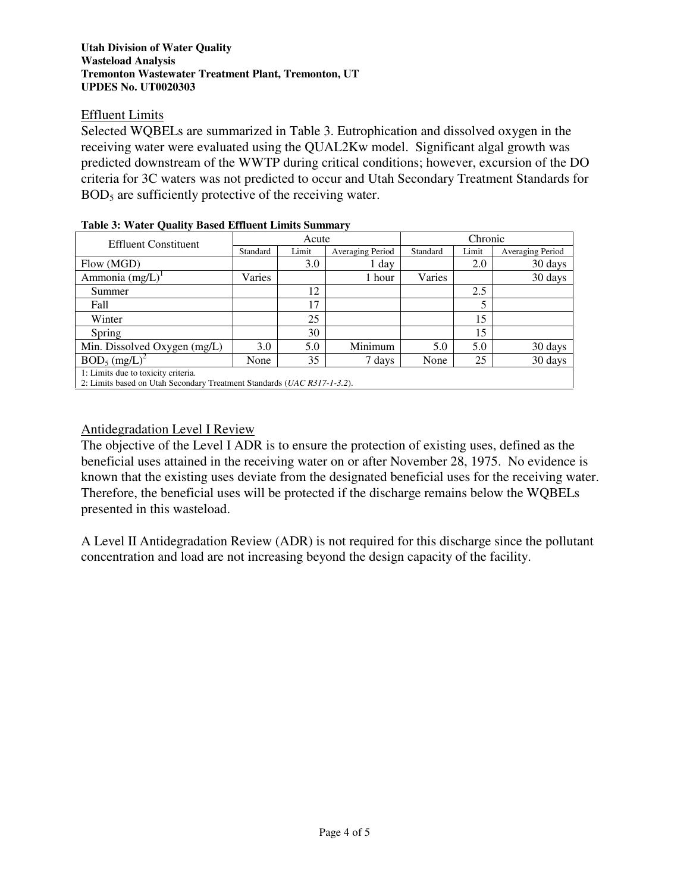## **Utah Division of Water Quality Wasteload Analysis Tremonton Wastewater Treatment Plant, Tremonton, UT UPDES No. UT0020303**

# Effluent Limits

Selected WQBELs are summarized in Table 3. Eutrophication and dissolved oxygen in the receiving water were evaluated using the QUAL2Kw model. Significant algal growth was predicted downstream of the WWTP during critical conditions; however, excursion of the DO criteria for 3C waters was not predicted to occur and Utah Secondary Treatment Standards for BOD<sub>5</sub> are sufficiently protective of the receiving water.

| Tuole of Water Quality Duoca Elliacht Ellino Dunning                    |          |       |                  |          |       |                  |
|-------------------------------------------------------------------------|----------|-------|------------------|----------|-------|------------------|
| <b>Effluent Constituent</b>                                             | Acute    |       |                  | Chronic  |       |                  |
|                                                                         | Standard | Limit | Averaging Period | Standard | Limit | Averaging Period |
| Flow (MGD)                                                              |          | 3.0   | 1 day            |          | 2.0   | 30 days          |
| Ammonia $(mg/L)^{1}$                                                    | Varies   |       | 1 hour           | Varies   |       | 30 days          |
| Summer                                                                  |          | 12    |                  |          | 2.5   |                  |
| Fall                                                                    |          | 17    |                  |          |       |                  |
| Winter                                                                  |          | 25    |                  |          | 15    |                  |
| Spring                                                                  |          | 30    |                  |          | 15    |                  |
| Min. Dissolved Oxygen (mg/L)                                            | 3.0      | 5.0   | Minimum          | 5.0      | 5.0   | 30 days          |
| $BOD_5$ (mg/L) <sup>2</sup>                                             | None     | 35    | 7 days           | None     | 25    | 30 days          |
| 1: Limits due to toxicity criteria.                                     |          |       |                  |          |       |                  |
| 2: Limits based on Utah Secondary Treatment Standards (UAC R317-1-3.2). |          |       |                  |          |       |                  |

# **Table 3: Water Quality Based Effluent Limits Summary**

Antidegradation Level I Review

The objective of the Level I ADR is to ensure the protection of existing uses, defined as the beneficial uses attained in the receiving water on or after November 28, 1975. No evidence is known that the existing uses deviate from the designated beneficial uses for the receiving water. Therefore, the beneficial uses will be protected if the discharge remains below the WQBELs presented in this wasteload.

A Level II Antidegradation Review (ADR) is not required for this discharge since the pollutant concentration and load are not increasing beyond the design capacity of the facility.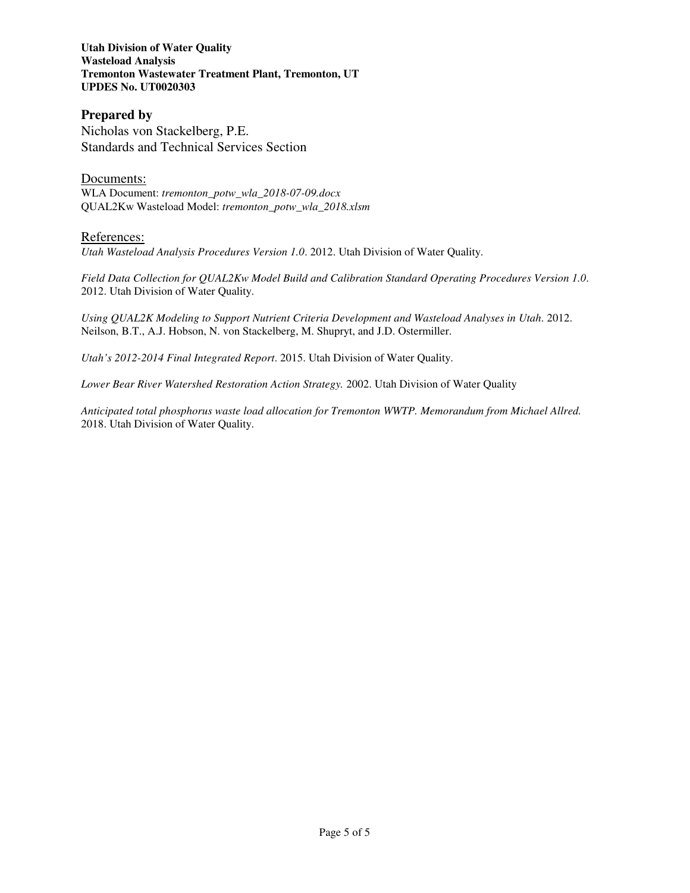## **Utah Division of Water Quality Wasteload Analysis Tremonton Wastewater Treatment Plant, Tremonton, UT UPDES No. UT0020303**

# **Prepared by**  Nicholas von Stackelberg, P.E. Standards and Technical Services Section

Documents: WLA Document: *tremonton\_potw\_wla\_2018-07-09.docx* QUAL2Kw Wasteload Model: *tremonton\_potw\_wla\_2018.xlsm*

# References:

*Utah Wasteload Analysis Procedures Version 1.0*. 2012. Utah Division of Water Quality.

*Field Data Collection for QUAL2Kw Model Build and Calibration Standard Operating Procedures Version 1.0*. 2012. Utah Division of Water Quality.

*Using QUAL2K Modeling to Support Nutrient Criteria Development and Wasteload Analyses in Utah*. 2012. Neilson, B.T., A.J. Hobson, N. von Stackelberg, M. Shupryt, and J.D. Ostermiller.

*Utah's 2012-2014 Final Integrated Report*. 2015. Utah Division of Water Quality.

*Lower Bear River Watershed Restoration Action Strategy.* 2002. Utah Division of Water Quality

*Anticipated total phosphorus waste load allocation for Tremonton WWTP. Memorandum from Michael Allred.* 2018. Utah Division of Water Quality.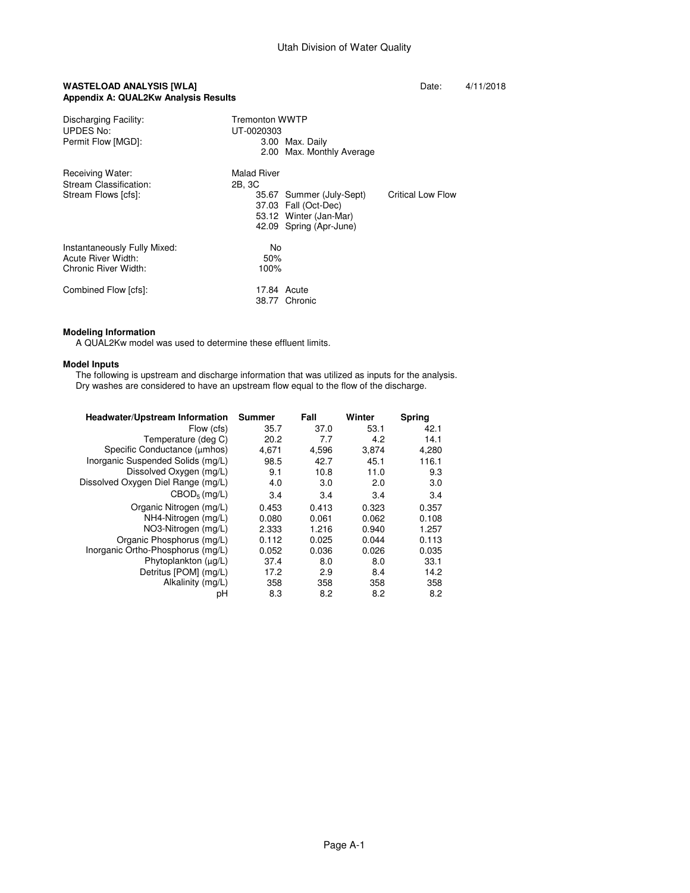### **WASTELOAD ANALYSIS [WLA] Date:**  $4/11/2018$ **Appendix A: QUAL2Kw Analysis Results**

| Discharging Facility:<br>UPDES No:<br>Permit Flow [MGD]:                   | <b>Tremonton WWTP</b><br>UT-0020303<br>3.00 Max. Daily<br>2.00 Max. Monthly Average                                                                 |
|----------------------------------------------------------------------------|-----------------------------------------------------------------------------------------------------------------------------------------------------|
| Receiving Water:<br>Stream Classification:<br>Stream Flows [cfs]:          | Malad River<br>2B, 3C<br>Critical Low Flow<br>35.67 Summer (July-Sept)<br>37.03 Fall (Oct-Dec)<br>53.12 Winter (Jan-Mar)<br>42.09 Spring (Apr-June) |
| Instantaneously Fully Mixed:<br>Acute River Width:<br>Chronic River Width: | No<br>50%<br>100%                                                                                                                                   |
| Combined Flow [cfs]:                                                       | 17.84 Acute<br>38.77 Chronic                                                                                                                        |

## **Modeling Information**

A QUAL2Kw model was used to determine these effluent limits.

#### **Model Inputs**

 The following is upstream and discharge information that was utilized as inputs for the analysis. Dry washes are considered to have an upstream flow equal to the flow of the discharge.

| <b>Headwater/Upstream Information</b> | <b>Summer</b> | Fall  | Winter | Spring |
|---------------------------------------|---------------|-------|--------|--------|
| Flow (cfs)                            | 35.7          | 37.0  | 53.1   | 42.1   |
| Temperature (deg C)                   | 20.2          | 7.7   | 4.2    | 14.1   |
| Specific Conductance (µmhos)          | 4.671         | 4,596 | 3.874  | 4,280  |
| Inorganic Suspended Solids (mg/L)     | 98.5          | 42.7  | 45.1   | 116.1  |
| Dissolved Oxygen (mg/L)               | 9.1           | 10.8  | 11.0   | 9.3    |
| Dissolved Oxygen Diel Range (mg/L)    | 4.0           | 3.0   | 2.0    | 3.0    |
| $CBOD5$ (mg/L)                        | 3.4           | 3.4   | 3.4    | 3.4    |
| Organic Nitrogen (mg/L)               | 0.453         | 0.413 | 0.323  | 0.357  |
| NH4-Nitrogen (mg/L)                   | 0.080         | 0.061 | 0.062  | 0.108  |
| NO3-Nitrogen (mg/L)                   | 2.333         | 1.216 | 0.940  | 1.257  |
| Organic Phosphorus (mg/L)             | 0.112         | 0.025 | 0.044  | 0.113  |
| Inorganic Ortho-Phosphorus (mg/L)     | 0.052         | 0.036 | 0.026  | 0.035  |
| Phytoplankton $(\mu g/L)$             | 37.4          | 8.0   | 8.0    | 33.1   |
| Detritus [POM] (mg/L)                 | 17.2          | 2.9   | 8.4    | 14.2   |
| Alkalinity (mg/L)                     | 358           | 358   | 358    | 358    |
| pН                                    | 8.3           | 8.2   | 8.2    | 8.2    |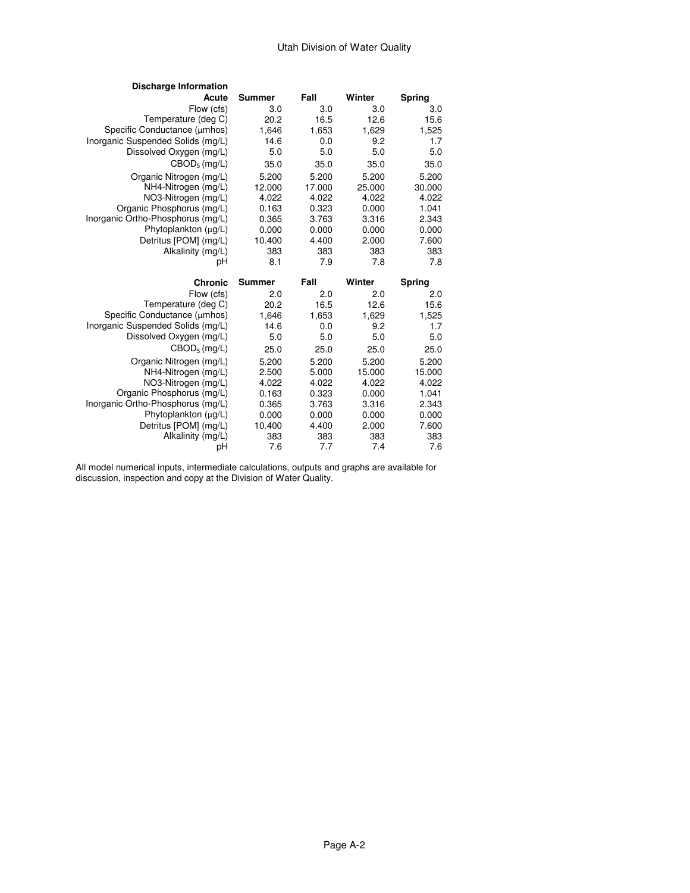## Utah Division of Water Quality

| <b>Discharge Information</b>      |               |            |            |            |
|-----------------------------------|---------------|------------|------------|------------|
| Acute                             | <b>Summer</b> | Fall       | Winter     | Spring     |
| Flow (cfs)                        | 3.0           | 3.0        | 3.0        | 3.0        |
| Temperature (deg C)               | 20.2          | 16.5       | 12.6       | 15.6       |
| Specific Conductance (µmhos)      | 1,646         | 1,653      | 1,629      | 1,525      |
| Inorganic Suspended Solids (mg/L) | 14.6          | 0.0        | 9.2        | 1.7        |
| Dissolved Oxygen (mg/L)           | 5.0           | 5.0        | 5.0        | 5.0        |
| CBOD <sub>5</sub> (mg/L)          | 35.0          | 35.0       | 35.0       | 35.0       |
| Organic Nitrogen (mg/L)           | 5.200         | 5.200      | 5.200      | 5.200      |
| NH4-Nitrogen (mg/L)               | 12.000        | 17.000     | 25,000     | 30.000     |
| NO3-Nitrogen (mg/L)               | 4.022         | 4.022      | 4.022      | 4.022      |
| Organic Phosphorus (mg/L)         | 0.163         | 0.323      | 0.000      | 1.041      |
| Inorganic Ortho-Phosphorus (mg/L) | 0.365         | 3.763      | 3.316      | 2.343      |
| Phytoplankton (µg/L)              | 0.000         | 0.000      | 0.000      | 0.000      |
| Detritus [POM] (mg/L)             | 10.400        | 4.400      | 2.000      | 7.600      |
| Alkalinity (mg/L)                 | 383           | 383        | 383        | 383        |
| рH                                | 8.1           | 7.9        | 7.8        | 7.8        |
|                                   |               |            |            |            |
| <b>Chronic</b>                    | Summer        | Fall       | Winter     | Spring     |
| Flow (cfs)                        | 2.0           | 2.0        | 2.0        | 2.0        |
| Temperature (deg C)               | 20.2          | 16.5       | 12.6       | 15.6       |
| Specific Conductance (µmhos)      | 1,646         | 1,653      | 1,629      | 1,525      |
| Inorganic Suspended Solids (mg/L) | 14.6          | 0.0        | 9.2        | 1.7        |
| Dissolved Oxygen (mg/L)           | 5.0           | 5.0        | 5.0        | 5.0        |
| CBOD <sub>5</sub> (mg/L)          | 25.0          | 25.0       | 25.0       | 25.0       |
| Organic Nitrogen (mg/L)           | 5.200         | 5.200      | 5.200      | 5.200      |
| NH4-Nitrogen (mg/L)               | 2.500         | 5.000      | 15.000     | 15.000     |
| NO3-Nitrogen (mg/L)               | 4.022         | 4.022      | 4.022      | 4.022      |
| Organic Phosphorus (mg/L)         | 0.163         | 0.323      | 0.000      | 1.041      |
| Inorganic Ortho-Phosphorus (mg/L) | 0.365         | 3.763      | 3.316      | 2.343      |
| Phytoplankton (µq/L)              | 0.000         | 0.000      | 0.000      | 0.000      |
| Detritus [POM] (mg/L)             | 10.400        | 4.400      | 2.000      | 7.600      |
| Alkalinity (mg/L)<br>рH           | 383<br>7.6    | 383<br>7.7 | 383<br>7.4 | 383<br>7.6 |

 All model numerical inputs, intermediate calculations, outputs and graphs are available for discussion, inspection and copy at the Division of Water Quality.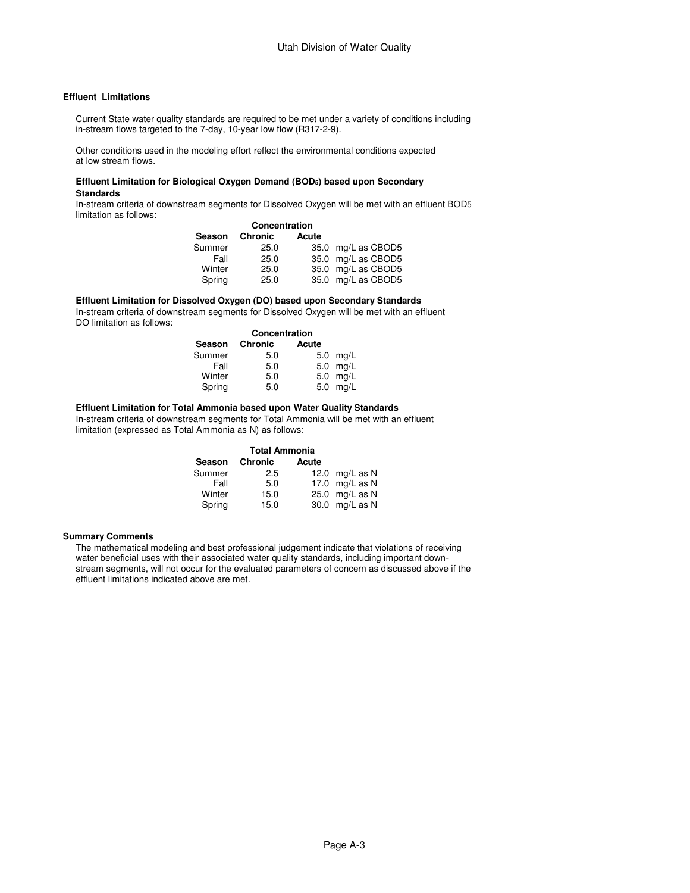#### **Effluent Limitations**

 Current State water quality standards are required to be met under a variety of conditions including in-stream flows targeted to the 7-day, 10-year low flow (R317-2-9).

 Other conditions used in the modeling effort reflect the environmental conditions expected at low stream flows.

#### **Effluent Limitation for Biological Oxygen Demand (BOD5) based upon Secondary Standards**

 In-stream criteria of downstream segments for Dissolved Oxygen will be met with an effluent BOD5 limitation as follows:

|        | Season Chronic | Acute |                    |
|--------|----------------|-------|--------------------|
| Summer | 25.0           |       | 35.0 mg/L as CBOD5 |
| Fall   | 25.0           |       | 35.0 mg/L as CBOD5 |
| Winter | 25.0           |       | 35.0 mg/L as CBOD5 |
| Spring | 25.0           |       | 35.0 mg/L as CBOD5 |

#### **Effluent Limitation for Dissolved Oxygen (DO) based upon Secondary Standards**

In-stream criteria of downstream segments for Dissolved Oxygen will be met with an effluent

DO limitation as follows:

| Concentration |         |       |            |  |  |
|---------------|---------|-------|------------|--|--|
| Season        | Chronic | Acute |            |  |  |
| Summer        | 5.0     |       | $5.0$ mg/L |  |  |
| Fall          | 5.0     |       | 5.0 mg/L   |  |  |
| Winter        | 5.0     |       | 5.0 mg/L   |  |  |
| Spring        | 5.0     |       | 5.0 mg/L   |  |  |

#### **Effluent Limitation for Total Ammonia based upon Water Quality Standards**

 In-stream criteria of downstream segments for Total Ammonia will be met with an effluent limitation (expressed as Total Ammonia as N) as follows:

| <b>Total Ammonia</b> |         |       |                  |  |
|----------------------|---------|-------|------------------|--|
| Season               | Chronic | Acute |                  |  |
| Summer               | 2.5     |       | 12.0 $mq/L$ as N |  |
| Fall                 | 5.0     |       | 17.0 mg/L as N   |  |
| Winter               | 15.0    |       | 25.0 mg/L as N   |  |
| Spring               | 15.0    |       | 30.0 mg/L as N   |  |

#### **Summary Comments**

 The mathematical modeling and best professional judgement indicate that violations of receiving water beneficial uses with their associated water quality standards, including important down stream segments, will not occur for the evaluated parameters of concern as discussed above if the effluent limitations indicated above are met.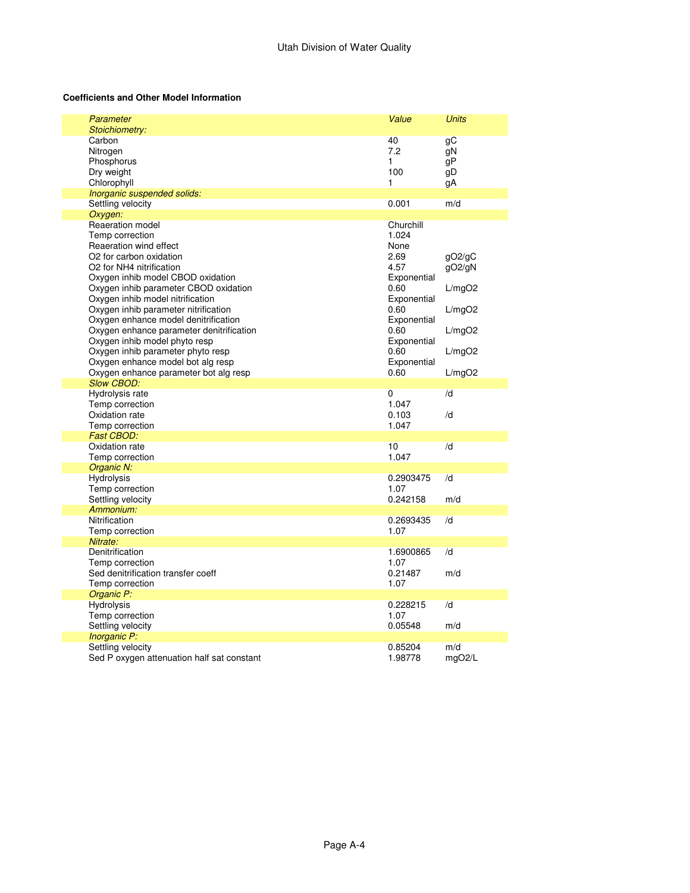## **Coefficients and Other Model Information**

| Parameter<br>Stoichiometry:              | Value       | <b>Units</b> |
|------------------------------------------|-------------|--------------|
| Carbon                                   | 40          | gС           |
| Nitrogen                                 | 7.2         | αN           |
| Phosphorus                               | 1           | gP           |
| Dry weight                               | 100         |              |
|                                          |             | gD           |
| Chlorophyll                              | 1           | gA           |
| Inorganic suspended solids:              |             |              |
| Settling velocity                        | 0.001       | m/d          |
| Oxygen:                                  |             |              |
| Reaeration model                         | Churchill   |              |
| Temp correction                          | 1.024       |              |
| Reaeration wind effect                   | None        |              |
| O2 for carbon oxidation                  | 2.69        | gO2/gC       |
| O2 for NH4 nitrification                 | 4.57        | gO2/gN       |
| Oxygen inhib model CBOD oxidation        | Exponential |              |
| Oxygen inhib parameter CBOD oxidation    | 0.60        | L/mgO2       |
| Oxygen inhib model nitrification         | Exponential |              |
| Oxygen inhib parameter nitrification     | 0.60        | L/mgO2       |
| Oxygen enhance model denitrification     | Exponential |              |
| Oxygen enhance parameter denitrification | 0.60        | L/mgO2       |
| Oxygen inhib model phyto resp            | Exponential |              |
| Oxygen inhib parameter phyto resp        | 0.60        | L/mgO2       |
| Oxygen enhance model bot alg resp        | Exponential |              |
| Oxygen enhance parameter bot alg resp    | 0.60        | L/mgO2       |
| Slow CBOD:                               |             |              |
| Hydrolysis rate                          | 0           | /d           |
| Temp correction                          | 1.047       |              |
| Oxidation rate                           | 0.103       | /d           |
| Temp correction                          | 1.047       |              |
| <b>Fast CBOD:</b>                        |             |              |
| Oxidation rate                           | 10          | /d           |
| Temp correction                          | 1.047       |              |
| Organic N:                               |             |              |
| Hydrolysis                               | 0.2903475   | /d           |
| Temp correction                          | 1.07        |              |
| Settling velocity                        | 0.242158    | m/d          |
| Ammonium:                                |             |              |
| Nitrification                            | 0.2693435   | /d           |
| Temp correction                          | 1.07        |              |
| Nitrate:                                 |             |              |
| Denitrification                          | 1.6900865   | /d           |
| Temp correction                          | 1.07        |              |
| Sed denitrification transfer coeff       | 0.21487     | m/d          |
| Temp correction                          | 1.07        |              |
| Organic P:                               |             |              |
|                                          |             |              |
|                                          |             |              |
| <b>Hydrolysis</b>                        | 0.228215    | /d           |
| Temp correction                          | 1.07        |              |
| Settling velocity                        | 0.05548     | m/d          |
| Inorganic P:<br>Settling velocity        | 0.85204     | m/d          |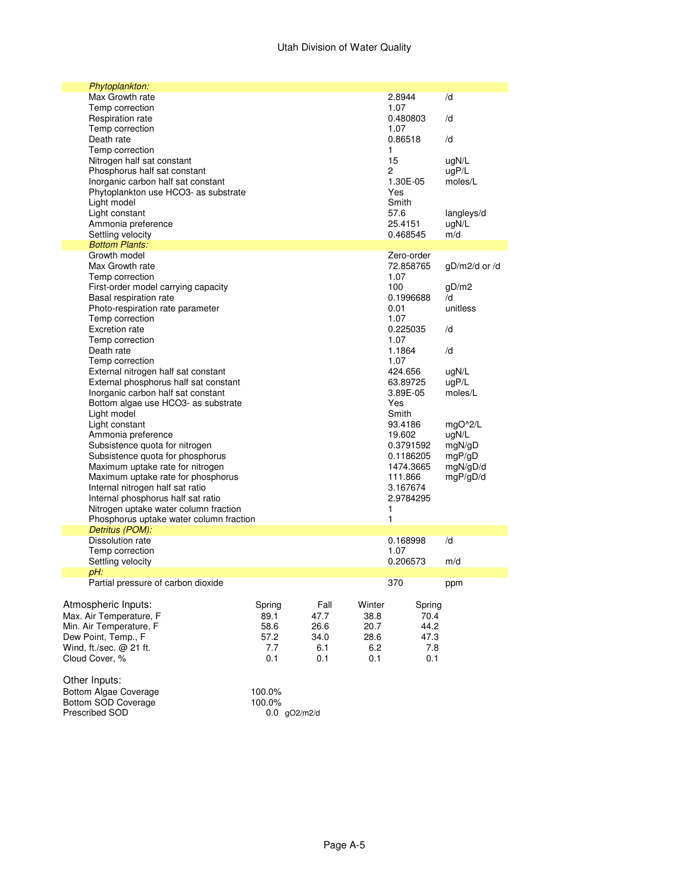## Utah Division of Water Quality

|                     | Phytoplankton:                           |        |      |        |              |                 |
|---------------------|------------------------------------------|--------|------|--------|--------------|-----------------|
|                     | Max Growth rate                          |        |      |        | 2.8944       | /d              |
|                     | Temp correction                          |        |      |        | 1.07         |                 |
|                     | Respiration rate                         |        |      |        | 0.480803     | /d              |
|                     | Temp correction                          |        |      |        | 1.07         |                 |
|                     | Death rate                               |        |      |        | 0.86518      | /d              |
|                     | Temp correction                          |        |      |        | 1            |                 |
|                     | Nitrogen half sat constant               |        |      |        | 15           | ugN/L           |
|                     | Phosphorus half sat constant             |        |      |        | 2            | uqP/L           |
|                     | Inorganic carbon half sat constant       |        |      |        | 1.30E-05     | moles/L         |
|                     | Phytoplankton use HCO3- as substrate     |        |      |        | Yes          |                 |
|                     | Light model                              |        |      |        | Smith        |                 |
|                     | Light constant                           |        |      |        | 57.6         | langleys/d      |
|                     | Ammonia preference                       |        |      |        | 25.4151      | ugN/L           |
|                     | Settling velocity                        |        |      |        | 0.468545     | m/d             |
|                     | <b>Bottom Plants:</b>                    |        |      |        |              |                 |
|                     | Growth model                             |        |      |        | Zero-order   |                 |
|                     | Max Growth rate                          |        |      |        | 72.858765    | $gD/m2/d$ or /d |
|                     | Temp correction                          |        |      |        | 1.07         |                 |
|                     | First-order model carrying capacity      |        |      |        | 100          | gD/m2           |
|                     | Basal respiration rate                   |        |      |        | 0.1996688    | /d<br>unitless  |
|                     | Photo-respiration rate parameter         |        |      |        | 0.01<br>1.07 |                 |
|                     | Temp correction<br><b>Excretion rate</b> |        |      |        | 0.225035     | /d              |
|                     | Temp correction                          |        |      |        | 1.07         |                 |
|                     | Death rate                               |        |      |        | 1.1864       | /d              |
|                     | Temp correction                          |        |      |        | 1.07         |                 |
|                     | External nitrogen half sat constant      |        |      |        | 424.656      | ugN/L           |
|                     | External phosphorus half sat constant    |        |      |        | 63.89725     | uqP/L           |
|                     | Inorganic carbon half sat constant       |        |      |        | 3.89E-05     | moles/L         |
|                     | Bottom algae use HCO3- as substrate      |        |      |        | Yes          |                 |
|                     | Light model                              |        |      |        | Smith        |                 |
|                     | Light constant                           |        |      |        | 93.4186      | $mgO^2/L$       |
|                     | Ammonia preference                       |        |      |        | 19.602       | ugN/L           |
|                     | Subsistence quota for nitrogen           |        |      |        | 0.3791592    | mgN/gD          |
|                     | Subsistence quota for phosphorus         |        |      |        | 0.1186205    | mgP/gD          |
|                     | Maximum uptake rate for nitrogen         |        |      |        | 1474.3665    | mgN/gD/d        |
|                     | Maximum uptake rate for phosphorus       |        |      |        | 111.866      | mgP/gD/d        |
|                     | Internal nitrogen half sat ratio         |        |      |        | 3.167674     |                 |
|                     | Internal phosphorus half sat ratio       |        |      |        | 2.9784295    |                 |
|                     | Nitrogen uptake water column fraction    |        |      |        | 1            |                 |
|                     | Phosphorus uptake water column fraction  |        |      |        | 1            |                 |
|                     | Detritus (POM):                          |        |      |        |              |                 |
|                     | Dissolution rate                         |        |      |        | 0.168998     | /d              |
|                     | Temp correction                          |        |      |        | 1.07         |                 |
|                     | Settling velocity                        |        |      |        | 0.206573     | m/d             |
| pH:                 |                                          |        |      |        |              |                 |
|                     | Partial pressure of carbon dioxide       |        |      |        | 370          | ppm             |
|                     |                                          |        |      |        |              |                 |
|                     | Atmospheric Inputs:                      | Spring | Fall | Winter | Spring       |                 |
|                     | Max. Air Temperature, F                  | 89.1   | 47.7 | 38.8   | 70.4         |                 |
|                     | Min. Air Temperature, F                  | 58.6   | 26.6 | 20.7   | 44.2         |                 |
| Dew Point, Temp., F |                                          | 57.2   | 34.0 | 28.6   | 47.3         |                 |
|                     | Wind, ft./sec. $@$ 21 ft.                | 7.7    | 6.1  | 6.2    | 7.8          |                 |
| Cloud Cover, %      |                                          | 0.1    | 0.1  | 0.1    | 0.1          |                 |
|                     |                                          |        |      |        |              |                 |
| Other Inputs:       |                                          |        |      |        |              |                 |
|                     | <b>Bottom Algae Coverage</b>             | 100.0% |      |        |              |                 |
|                     | Bottom SOD Coverage                      | 100.0% |      |        |              |                 |

Prescribed SOD 0.0 gO2/m2/d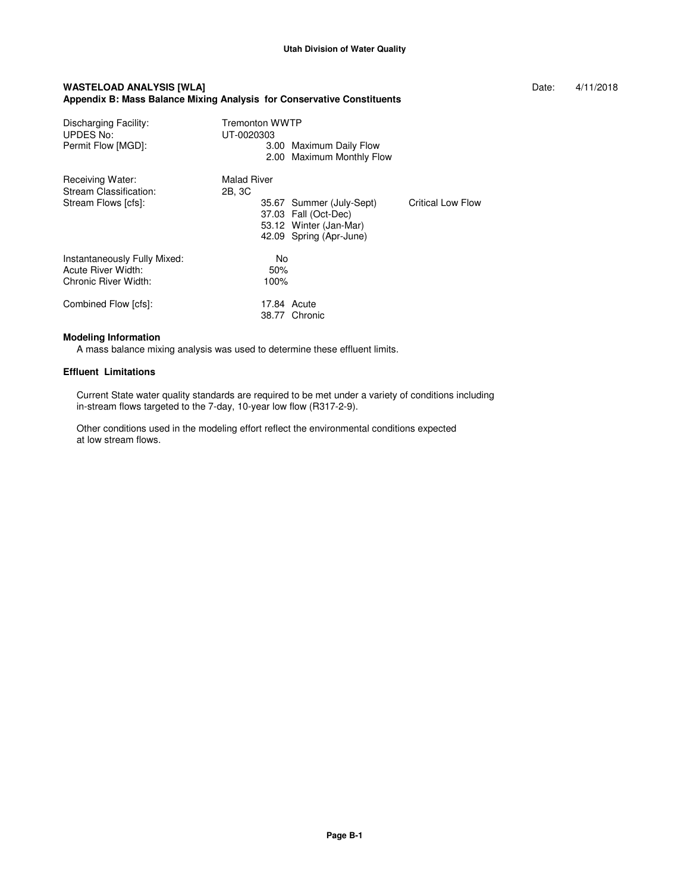#### **WASTELOAD ANALYSIS [WLA] Date:**  $4/11/2018$ **Appendix B: Mass Balance Mixing Analysis for Conservative Constituents**

Discharging Facility: Tremonton WWTP UPDES No: UT-0020303 Permit Flow [MGD]: 3.00 Maximum Daily Flow 2.00 Maximum Monthly Flow Receiving Water: Malad River<br>Stream Classification: 2B, 3C Stream Classification:<br>Stream Flows [cfs]: 35.67 Summer (July-Sept) Critical Low Flow 37.03 Fall (Oct-Dec) 53.12 Winter (Jan-Mar) 42.09 Spring (Apr-June) Instantaneously Fully Mixed: No Acute River Width: 50%<br>Chronic River Width: 50%<br>100% Chronic River Width: Combined Flow [cfs]: 17.84 Acute 38.77 Chronic

#### **Modeling Information**

A mass balance mixing analysis was used to determine these effluent limits.

#### **Effluent Limitations**

 Current State water quality standards are required to be met under a variety of conditions including in-stream flows targeted to the 7-day, 10-year low flow (R317-2-9).

 Other conditions used in the modeling effort reflect the environmental conditions expected at low stream flows.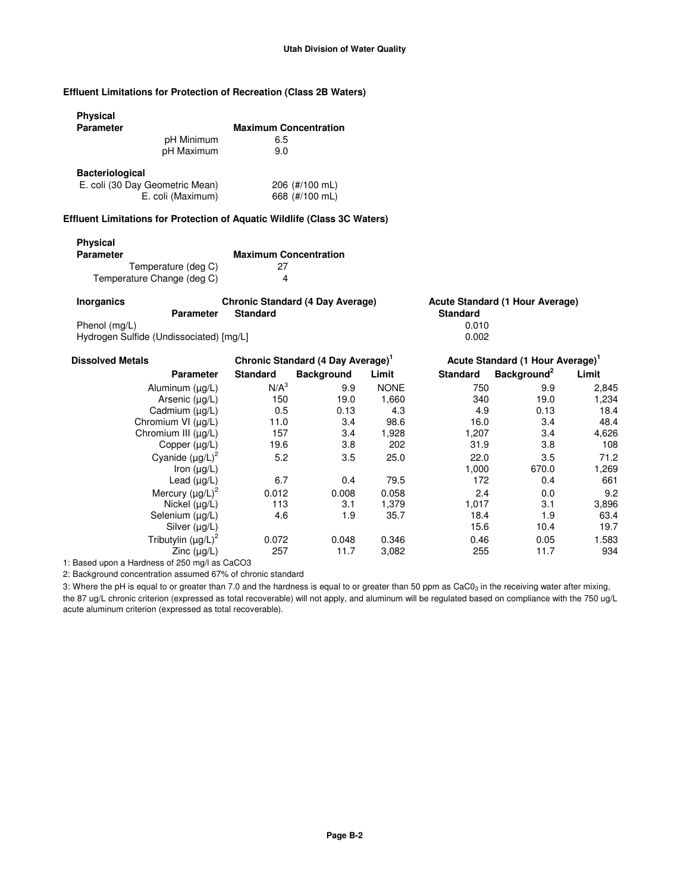## **Effluent Limitations for Protection of Recreation (Class 2B Waters)**

## **Physical**

| <b>Parameter</b>       |                                 | <b>Maximum Concentration</b> |
|------------------------|---------------------------------|------------------------------|
|                        | pH Minimum                      | 6.5                          |
|                        | pH Maximum                      | 9.0                          |
| <b>Bacteriological</b> |                                 |                              |
|                        | E. coli (30 Day Geometric Mean) | 206 (#/100 mL)               |
|                        | E. coli (Maximum)               | 668 (#/100 mL)               |

### **Effluent Limitations for Protection of Aquatic Wildlife (Class 3C Waters)**

| <b>Physical</b><br><b>Parameter</b> | <b>Maximum Concentration</b> |
|-------------------------------------|------------------------------|
| Temperature (deg C)                 | 27                           |
| Temperature Change (deg C)          |                              |

| <b>Inorganics</b> | <b>Chronic Standard (4 Day Average)</b> | Acute Standard (1 Hour Average) |
|-------------------|-----------------------------------------|---------------------------------|
|                   | <b>Parameter</b><br><b>Standard</b>     | <b>Standard</b>                 |
| Phenol (mg/L)     |                                         | 0.010                           |
|                   | Hydrogen Sulfide (Undissociated) [mg/L] | 0.002                           |

| <b>Dissolved Metals</b>  | Chronic Standard (4 Day Average) <sup>1</sup> |                   |             | Acute Standard (1 Hour Average) <sup>1</sup> |                         |       |
|--------------------------|-----------------------------------------------|-------------------|-------------|----------------------------------------------|-------------------------|-------|
| <b>Parameter</b>         | <b>Standard</b>                               | <b>Background</b> | Limit       | <b>Standard</b>                              | Background <sup>2</sup> | Limit |
| Aluminum (ug/L)          | N/A <sup>3</sup>                              | 9.9               | <b>NONE</b> | 750                                          | 9.9                     | 2,845 |
| Arsenic (µg/L)           | 150                                           | 19.0              | 1,660       | 340                                          | 19.0                    | 1,234 |
| Cadmium (µg/L)           | 0.5                                           | 0.13              | 4.3         | 4.9                                          | 0.13                    | 18.4  |
| Chromium VI (µg/L)       | 11.0                                          | 3.4               | 98.6        | 16.0                                         | 3.4                     | 48.4  |
| Chromium III (µg/L)      | 157                                           | 3.4               | 1,928       | 1,207                                        | 3.4                     | 4,626 |
| Copper $(\mu g/L)$       | 19.6                                          | 3.8               | 202         | 31.9                                         | 3.8                     | 108   |
| Cyanide $(\mu g/L)^2$    | 5.2                                           | 3.5               | 25.0        | 22.0                                         | 3.5                     | 71.2  |
| Iron $(uq/L)$            |                                               |                   |             | 1,000                                        | 670.0                   | 1,269 |
| Lead $(\mu g/L)$         | 6.7                                           | 0.4               | 79.5        | 172                                          | 0.4                     | 661   |
| Mercury $(\mu g/L)^2$    | 0.012                                         | 0.008             | 0.058       | 2.4                                          | 0.0                     | 9.2   |
| Nickel $(uq/L)$          | 113                                           | 3.1               | 1,379       | 1,017                                        | 3.1                     | 3,896 |
| Selenium (µg/L)          | 4.6                                           | 1.9               | 35.7        | 18.4                                         | 1.9                     | 63.4  |
| Silver $(\mu g/L)$       |                                               |                   |             | 15.6                                         | 10.4                    | 19.7  |
| Tributylin $(\mu g/L)^2$ | 0.072                                         | 0.048             | 0.346       | 0.46                                         | 0.05                    | 1.583 |
| Zinc $(\mu g/L)$         | 257                                           | 11.7              | 3,082       | 255                                          | 11.7                    | 934   |

1: Based upon a Hardness of 250 mg/l as CaCO3

2: Background concentration assumed 67% of chronic standard

3: Where the pH is equal to or greater than 7.0 and the hardness is equal to or greater than 50 ppm as CaC0 $_3$  in the receiving water after mixing, the 87 ug/L chronic criterion (expressed as total recoverable) will not apply, and aluminum will be regulated based on compliance with the 750 ug/L acute aluminum criterion (expressed as total recoverable).